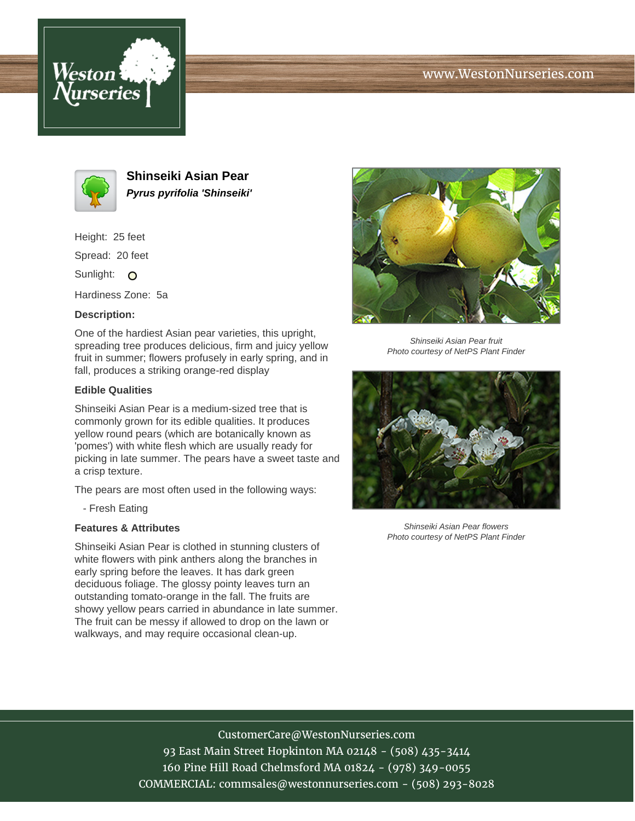





**Shinseiki Asian Pear Pyrus pyrifolia 'Shinseiki'**

Height: 25 feet

Spread: 20 feet

Sunlight: O

Hardiness Zone: 5a

## **Description:**

One of the hardiest Asian pear varieties, this upright, spreading tree produces delicious, firm and juicy yellow fruit in summer; flowers profusely in early spring, and in fall, produces a striking orange-red display

## **Edible Qualities**

Shinseiki Asian Pear is a medium-sized tree that is commonly grown for its edible qualities. It produces yellow round pears (which are botanically known as 'pomes') with white flesh which are usually ready for picking in late summer. The pears have a sweet taste and a crisp texture.

The pears are most often used in the following ways:

- Fresh Eating

## **Features & Attributes**

Shinseiki Asian Pear is clothed in stunning clusters of white flowers with pink anthers along the branches in early spring before the leaves. It has dark green deciduous foliage. The glossy pointy leaves turn an outstanding tomato-orange in the fall. The fruits are showy yellow pears carried in abundance in late summer. The fruit can be messy if allowed to drop on the lawn or walkways, and may require occasional clean-up.



Shinseiki Asian Pear fruit Photo courtesy of NetPS Plant Finder



Shinseiki Asian Pear flowers Photo courtesy of NetPS Plant Finder

CustomerCare@WestonNurseries.com 93 East Main Street Hopkinton MA 02148 - (508) 435-3414 160 Pine Hill Road Chelmsford MA 01824 - (978) 349-0055 COMMERCIAL: commsales@westonnurseries.com - (508) 293-8028